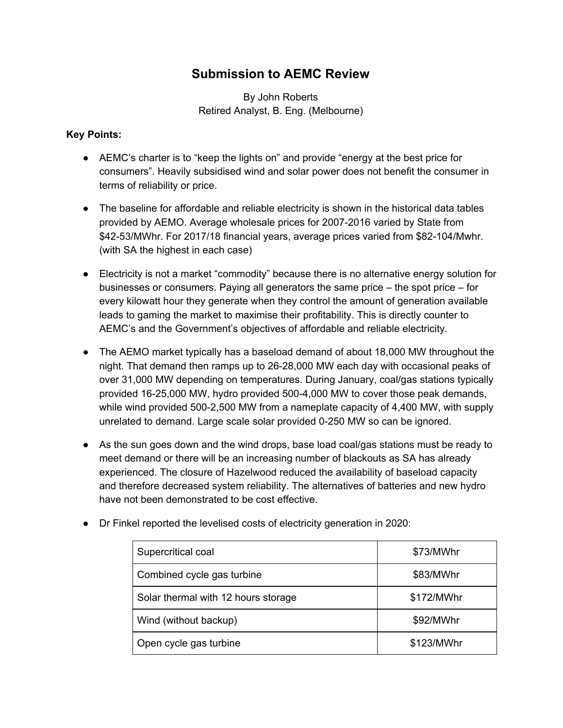## **Submission to AEMC Review**

By John Roberts Retired Analyst, B. Eng. (Melbourne)

## **Key Points:**

- AEMC's charter is to "keep the lights on" and provide "energy at the best price for consumers". Heavily subsidised wind and solar power does not benefit the consumer in terms of reliability or price.
- The baseline for affordable and reliable electricity is shown in the historical data tables provided by AEMO. Average wholesale prices for 2007-2016 varied by State from \$42-53/MWhr. For 2017/18 financial years, average prices varied from \$82-104/Mwhr. (with SA the highest in each case)
- Electricity is not a market "commodity" because there is no alternative energy solution for businesses or consumers. Paying all generators the same price – the spot price – for every kilowatt hour they generate when they control the amount of generation available leads to gaming the market to maximise their profitability. This is directly counter to AEMC's and the Government's objectives of affordable and reliable electricity.
- The AEMO market typically has a baseload demand of about 18,000 MW throughout the night. That demand then ramps up to 26-28,000 MW each day with occasional peaks of over 31,000 MW depending on temperatures. During January, coal/gas stations typically provided 16-25,000 MW, hydro provided 500-4,000 MW to cover those peak demands, while wind provided 500-2,500 MW from a nameplate capacity of 4,400 MW, with supply unrelated to demand. Large scale solar provided 0-250 MW so can be ignored.
- As the sun goes down and the wind drops, base load coal/gas stations must be ready to meet demand or there will be an increasing number of blackouts as SA has already experienced. The closure of Hazelwood reduced the availability of baseload capacity and therefore decreased system reliability. The alternatives of batteries and new hydro have not been demonstrated to be cost effective.

| Supercritical coal                  | \$73/MWhr  |
|-------------------------------------|------------|
| Combined cycle gas turbine          | \$83/MWhr  |
| Solar thermal with 12 hours storage | \$172/MWhr |
| Wind (without backup)               | \$92/MWhr  |
| Open cycle gas turbine              | \$123/MWhr |

● Dr Finkel reported the levelised costs of electricity generation in 2020: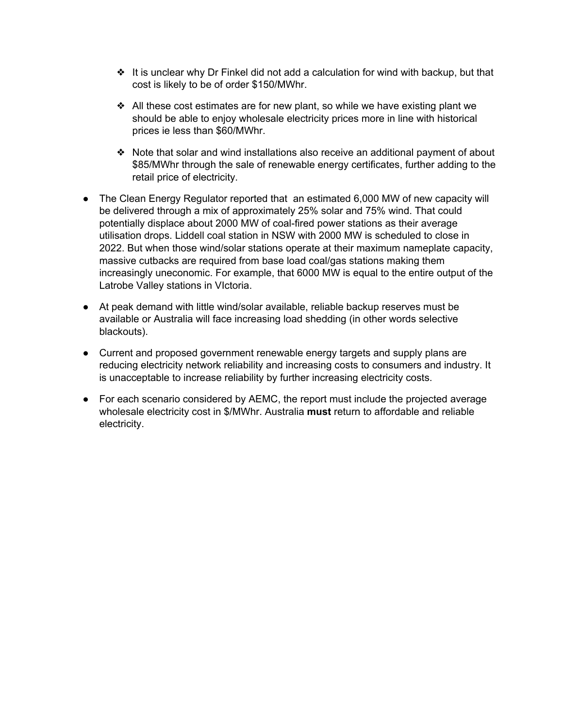- $\triangleq$  It is unclear why Dr Finkel did not add a calculation for wind with backup, but that cost is likely to be of order \$150/MWhr.
- $\triangleleft$  All these cost estimates are for new plant, so while we have existing plant we should be able to enjoy wholesale electricity prices more in line with historical prices ie less than \$60/MWhr.
- ❖ Note that solar and wind installations also receive an additional payment of about \$85/MWhr through the sale of renewable energy certificates, further adding to the retail price of electricity.
- The Clean Energy Regulator reported that an estimated 6,000 MW of new capacity will be delivered through a mix of approximately 25% solar and 75% wind. That could potentially displace about 2000 MW of coal-fired power stations as their average utilisation drops. Liddell coal station in NSW with 2000 MW is scheduled to close in 2022. But when those wind/solar stations operate at their maximum nameplate capacity, massive cutbacks are required from base load coal/gas stations making them increasingly uneconomic. For example, that 6000 MW is equal to the entire output of the Latrobe Valley stations in VIctoria.
- At peak demand with little wind/solar available, reliable backup reserves must be available or Australia will face increasing load shedding (in other words selective blackouts).
- Current and proposed government renewable energy targets and supply plans are reducing electricity network reliability and increasing costs to consumers and industry. It is unacceptable to increase reliability by further increasing electricity costs.
- For each scenario considered by AEMC, the report must include the projected average wholesale electricity cost in \$/MWhr. Australia **must** return to affordable and reliable electricity.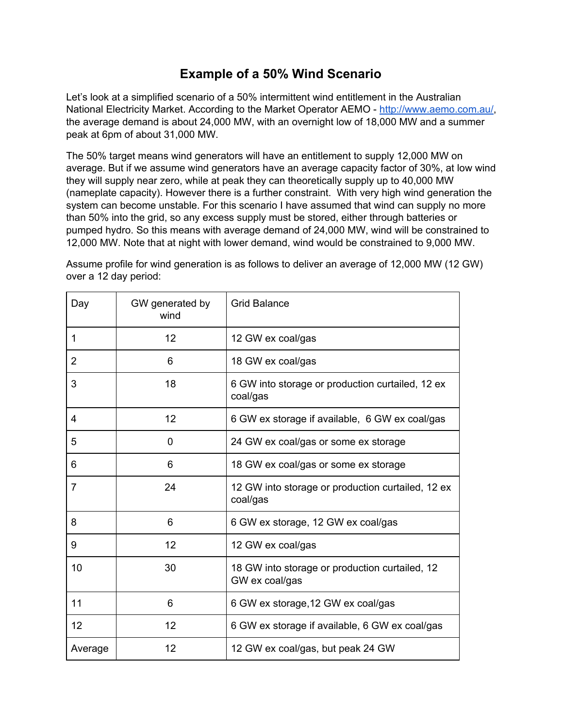## **Example of a 50% Wind Scenario**

Let's look at a simplified scenario of a 50% intermittent wind entitlement in the Australian National Electricity Market. According to the Market Operator AEMO - [http://www.aemo.com.au/,](http://www.aemo.com.au/) the average demand is about 24,000 MW, with an overnight low of 18,000 MW and a summer peak at 6pm of about 31,000 MW.

The 50% target means wind generators will have an entitlement to supply 12,000 MW on average. But if we assume wind generators have an average capacity factor of 30%, at low wind they will supply near zero, while at peak they can theoretically supply up to 40,000 MW (nameplate capacity). However there is a further constraint. With very high wind generation the system can become unstable. For this scenario I have assumed that wind can supply no more than 50% into the grid, so any excess supply must be stored, either through batteries or pumped hydro. So this means with average demand of 24,000 MW, wind will be constrained to 12,000 MW. Note that at night with lower demand, wind would be constrained to 9,000 MW.

Day | GW generated by wind Grid Balance 1 12 12 12 GW ex coal/gas 2 6 18 GW ex coal/gas 3 18 18 6 GW into storage or production curtailed, 12 ex coal/gas 4 12 12 6 GW ex storage if available, 6 GW ex coal/gas 5 0 0 24 GW ex coal/gas or some ex storage 6 18 GW ex coal/gas or some ex storage 7 24 12 GW into storage or production curtailed, 12 ex coal/gas 8 6 6 6 6 6 6 6 6 6 6 6 6 6 6 6 6 6 7 6 6 6 7 6 6 6 7 7 8 7 6 6 7 7 7 8 7 7 8 7 7 8 7 7 8 7 7 8 7 7 8 7 7 8 7 8 7 7 8 7 7 8 7 7 8 7 7 8 7 7 7 8 7 7 7 8 7 7 8 7 7 7 7 8 7 7 7 7 8 7 7 7 7 8 7 7 7 7 8 7 7 7 7 8 7 7 7 7 7 8 7 9 | 12 12 12 GW ex coal/gas 10 18 GW into storage or production curtailed, 12 GW ex coal/gas 11 6 6 GW ex storage,12 GW ex coal/gas 12 12 12 12 6 GW ex storage if available, 6 GW ex coal/gas Average 12 12 12 GW ex coal/gas, but peak 24 GW

Assume profile for wind generation is as follows to deliver an average of 12,000 MW (12 GW) over a 12 day period: